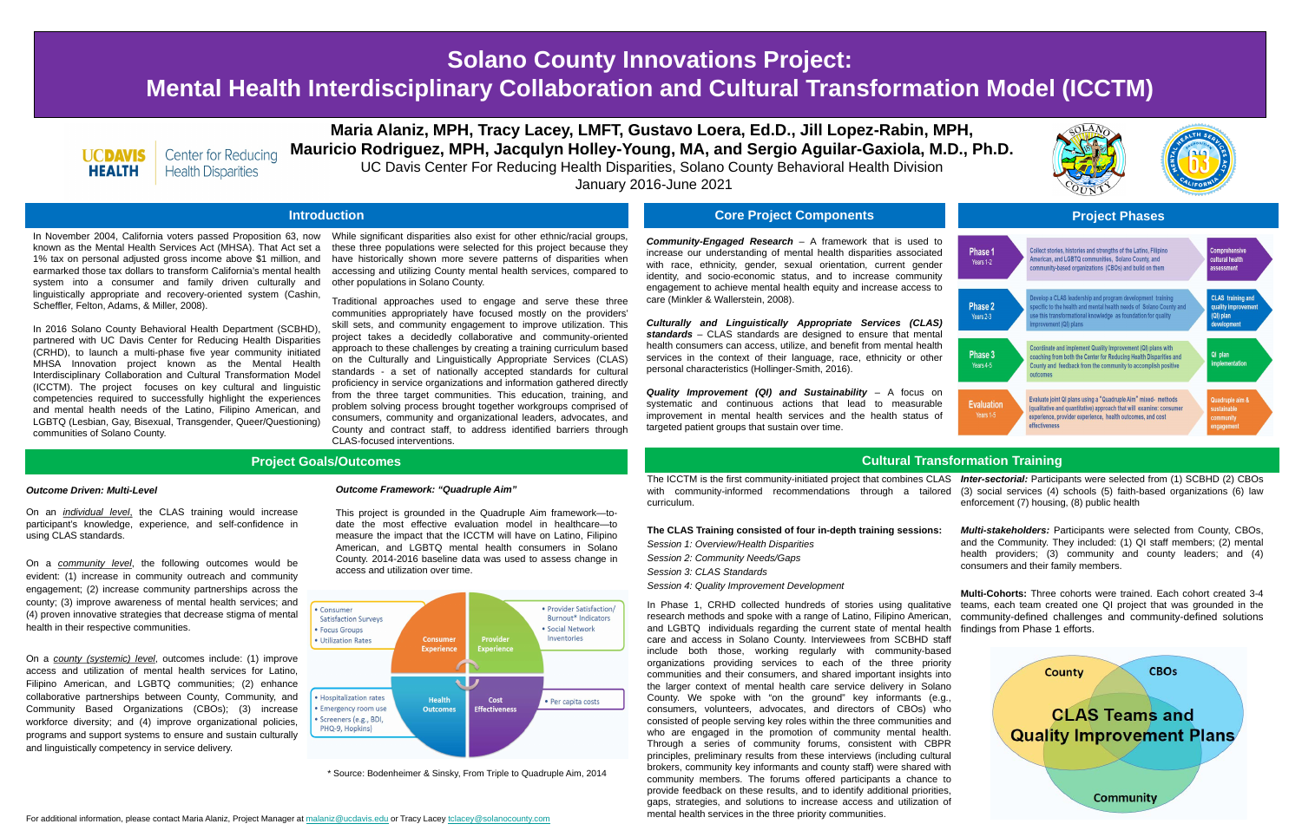# **Solano County Innovations Project: Mental Health Interdisciplinary Collaboration and Cultural Transformation Model (ICCTM)**



**Center for Reducing Health Disparities** 

# **Maria Alaniz, MPH, Tracy Lacey, LMFT, Gustavo Loera, Ed.D., Jill Lopez-Rabin, MPH, Mauricio Rodriguez, MPH, Jacqulyn Holley-Young, MA, and Sergio Aguilar-Gaxiola, M.D., Ph.D.** UC Davis Center For Reducing Health Disparities, Solano County Behavioral Health Division

January 2016-June 2021

In November 2004, California voters passed Proposition 63, now known as the Mental Health Services Act (MHSA). That Act set a 1% tax on personal adjusted gross income above \$1 million, and earmarked those tax dollars to transform California's mental health system into a consumer and family driven culturally and linguistically appropriate and recovery-oriented system (Cashin, Scheffler, Felton, Adams, & Miller, 2008).

In 2016 Solano County Behavioral Health Department (SCBHD), partnered with UC Davis Center for Reducing Health Disparities (CRHD), to launch a multi-phase five year community initiated MHSA Innovation project known as the Mental Health Interdisciplinary Collaboration and Cultural Transformation Model (ICCTM). The project focuses on key cultural and linguistic competencies required to successfully highlight the experiences and mental health needs of the Latino, Filipino American, and LGBTQ (Lesbian, Gay, Bisexual, Transgender, Queer/Questioning) communities of Solano County.



*Community-Engaged Research* – A framework that is used to increase our understanding of mental health disparities associated with race, ethnicity, gender, sexual orientation, current gender identity, and socio-economic status, and to increase community engagement to achieve mental health equity and increase access to care (Minkler & Wallerstein, 2008).

*Culturally and Linguistically Appropriate Services (CLAS) standards* – CLAS standards are designed to ensure that mental health consumers can access, utilize, and benefit from mental health services in the context of their language, race, ethnicity or other personal characteristics (Hollinger-Smith, 2016).

*Quality Improvement (QI) and Sustainability* – A focus on systematic and continuous actions that lead to measurable improvement in mental health services and the health status of targeted patient groups that sustain over time.

| Ph<br>Yea |  |
|-----------|--|
|           |  |
|           |  |

## **Project Goals/Outcomes Cultural Transformation Training**

## **The CLAS Training consisted of four in-depth training sessions:** *Session 1: Overview/Health Disparities*

- *Session 2: Community Needs/Gaps*
- *Session 3: CLAS Standards*
- *Session 4: Quality Improvement Development*

The ICCTM is the first community-initiated project that combines CLAS *Inter-sectorial:* Participants were selected from (1) SCBHD (2) CBOs with community-informed recommendations through a tailored (3) social services (4) schools (5) faith-based organizations (6) law curriculum. enforcement (7) housing, (8) public health

In Phase 1, CRHD collected hundreds of stories using qualitative research methods and spoke with a range of Latino, Filipino American, community-defined challenges and community-defined solutions and LGBTQ individuals regarding the current state of mental health care and access in Solano County. Interviewees from SCBHD staff include both those, working regularly with community-based organizations providing services to each of the three priority communities and their consumers, and shared important insights into the larger context of mental health care service delivery in Solano County. We spoke with "on the ground" key informants (e.g., consumers, volunteers, advocates, and directors of CBOs) who consisted of people serving key roles within the three communities and who are engaged in the promotion of community mental health. Through a series of community forums, consistent with CBPR principles, preliminary results from these interviews (including cultural brokers, community key informants and county staff) were shared with community members. The forums offered participants a chance to provide feedback on these results, and to identify additional priorities, gaps, strategies, and solutions to increase access and utilization of mental health services in the three priority communities.

*Multi-stakeholders:* Participants were selected from County, CBOs, and the Community. They included: (1) QI staff members; (2) mental health providers; (3) community and county leaders; and (4) consumers and their family members.



**Multi-Cohorts:** Three cohorts were trained. Each cohort created 3-4 teams, each team created one QI project that was grounded in the findings from Phase 1 efforts.





- While significant disparities also exist for other ethnic/racial groups, these three populations were selected for this project because they have historically shown more severe patterns of disparities when accessing and utilizing County mental health services, compared to other populations in Solano County.
- Traditional approaches used to engage and serve these three communities appropriately have focused mostly on the providers' skill sets, and community engagement to improve utilization. This project takes a decidedly collaborative and community-oriented approach to these challenges by creating a training curriculum based on the Culturally and Linguistically Appropriate Services (CLAS) standards - a set of nationally accepted standards for cultural proficiency in service organizations and information gathered directly from the three target communities. This education, training, and problem solving process brought together workgroups comprised of consumers, community and organizational leaders, advocates, and County and contract staff, to address identified barriers through CLAS-focused interventions.

\* Source: Bodenheimer & Sinsky, From Triple to Quadruple Aim, 2014

### *Outcome Framework: "Quadruple Aim"*

This project is grounded in the Quadruple Aim framework—todate the most effective evaluation model in healthcare—to measure the impact that the ICCTM will have on Latino, Filipino American, and LGBTQ mental health consumers in Solano County. 2014-2016 baseline data was used to assess change in access and utilization over time.

### *Outcome Driven: Multi-Level*

On an *individual level*, the CLAS training would increase participant's knowledge, experience, and self-confidence in using CLAS standards.

On a *community level*, the following outcomes would be evident: (1) increase in community outreach and community engagement; (2) increase community partnerships across the county; (3) improve awareness of mental health services; and (4) proven innovative strategies that decrease stigma of mental health in their respective communities.

On a *county (systemic) level*, outcomes include: (1) improve access and utilization of mental health services for Latino, Filipino American, and LGBTQ communities; (2) enhance collaborative partnerships between County, Community, and Community Based Organizations (CBOs); (3) increase workforce diversity; and (4) improve organizational policies, programs and support systems to ensure and sustain culturally and linguistically competency in service delivery.